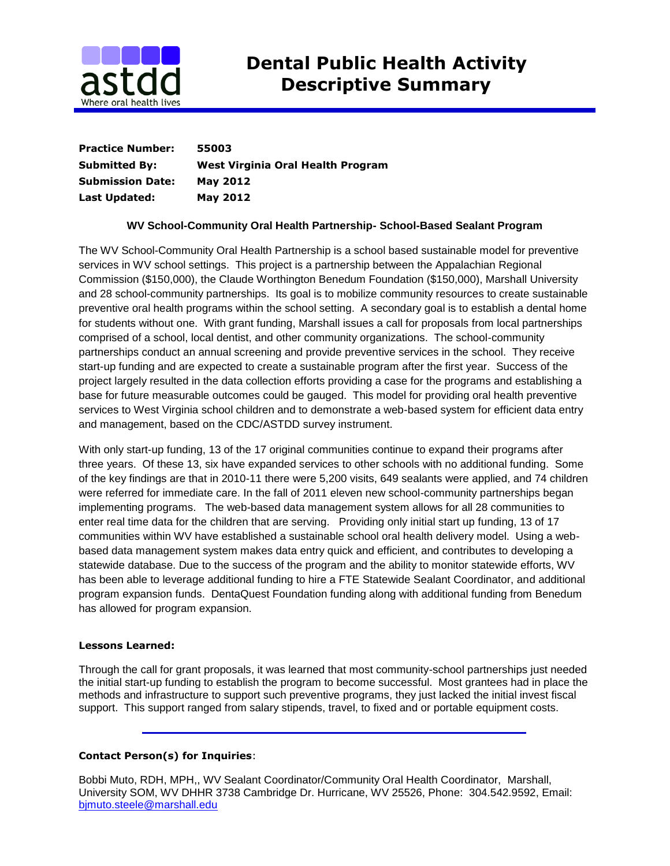

| <b>Practice Number:</b> | 55003                             |
|-------------------------|-----------------------------------|
| <b>Submitted By:</b>    | West Virginia Oral Health Program |
| <b>Submission Date:</b> | <b>May 2012</b>                   |
| Last Updated:           | <b>May 2012</b>                   |

## **WV School-Community Oral Health Partnership- School-Based Sealant Program**

The WV School-Community Oral Health Partnership is a school based sustainable model for preventive services in WV school settings. This project is a partnership between the Appalachian Regional Commission (\$150,000), the Claude Worthington Benedum Foundation (\$150,000), Marshall University and 28 school-community partnerships. Its goal is to mobilize community resources to create sustainable preventive oral health programs within the school setting. A secondary goal is to establish a dental home for students without one. With grant funding, Marshall issues a call for proposals from local partnerships comprised of a school, local dentist, and other community organizations. The school-community partnerships conduct an annual screening and provide preventive services in the school. They receive start-up funding and are expected to create a sustainable program after the first year. Success of the project largely resulted in the data collection efforts providing a case for the programs and establishing a base for future measurable outcomes could be gauged. This model for providing oral health preventive services to West Virginia school children and to demonstrate a web-based system for efficient data entry and management, based on the CDC/ASTDD survey instrument.

With only start-up funding, 13 of the 17 original communities continue to expand their programs after three years. Of these 13, six have expanded services to other schools with no additional funding. Some of the key findings are that in 2010-11 there were 5,200 visits, 649 sealants were applied, and 74 children were referred for immediate care. In the fall of 2011 eleven new school-community partnerships began implementing programs. The web-based data management system allows for all 28 communities to enter real time data for the children that are serving. Providing only initial start up funding, 13 of 17 communities within WV have established a sustainable school oral health delivery model. Using a webbased data management system makes data entry quick and efficient, and contributes to developing a statewide database. Due to the success of the program and the ability to monitor statewide efforts, WV has been able to leverage additional funding to hire a FTE Statewide Sealant Coordinator, and additional program expansion funds. DentaQuest Foundation funding along with additional funding from Benedum has allowed for program expansion.

## **Lessons Learned:**

Through the call for grant proposals, it was learned that most community-school partnerships just needed the initial start-up funding to establish the program to become successful. Most grantees had in place the methods and infrastructure to support such preventive programs, they just lacked the initial invest fiscal support. This support ranged from salary stipends, travel, to fixed and or portable equipment costs.

## **Contact Person(s) for Inquiries**:

Bobbi Muto, RDH, MPH,, WV Sealant Coordinator/Community Oral Health Coordinator, Marshall, University SOM, WV DHHR 3738 Cambridge Dr. Hurricane, WV 25526, Phone: 304.542.9592, Email: [bjmuto.steele@marshall.edu](mailto:bjmuto.steele@marshall.edu)